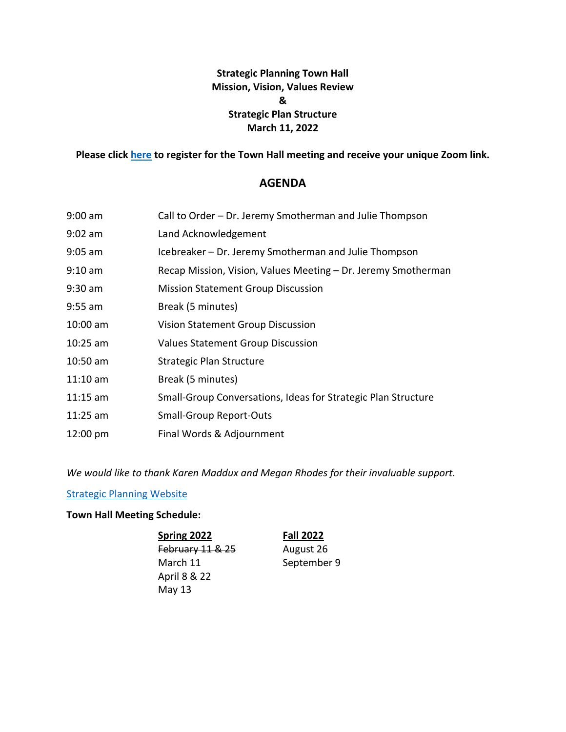## **Strategic Planning Town Hall Mission, Vision, Values Review & Strategic Plan Structure March 11, 2022**

**Please click [here](https://strategic-planning.santarosa.edu/town-hall-meeting-schedule) to register for the Town Hall meeting and receive your unique Zoom link.** 

## **AGENDA**

| $9:00$ am  | Call to Order - Dr. Jeremy Smotherman and Julie Thompson      |
|------------|---------------------------------------------------------------|
| $9:02$ am  | Land Acknowledgement                                          |
| $9:05$ am  | Icebreaker – Dr. Jeremy Smotherman and Julie Thompson         |
| $9:10$ am  | Recap Mission, Vision, Values Meeting - Dr. Jeremy Smotherman |
| $9:30$ am  | <b>Mission Statement Group Discussion</b>                     |
| $9:55$ am  | Break (5 minutes)                                             |
| $10:00$ am | <b>Vision Statement Group Discussion</b>                      |
| $10:25$ am | <b>Values Statement Group Discussion</b>                      |
| $10:50$ am | Strategic Plan Structure                                      |
| $11:10$ am | Break (5 minutes)                                             |
| $11:15$ am | Small-Group Conversations, Ideas for Strategic Plan Structure |
| $11:25$ am | <b>Small-Group Report-Outs</b>                                |
| 12:00 pm   | Final Words & Adjournment                                     |

*We would like to thank Karen Maddux and Megan Rhodes for their invaluable support.* 

[Strategic Planning Website](https://strategic-planning.santarosa.edu/) 

## **Town Hall Meeting Schedule:**

**Spring 2022**  February 11 & 25 March 11 April 8 & 22 May 13

**Fall 2022**  August 26

September 9